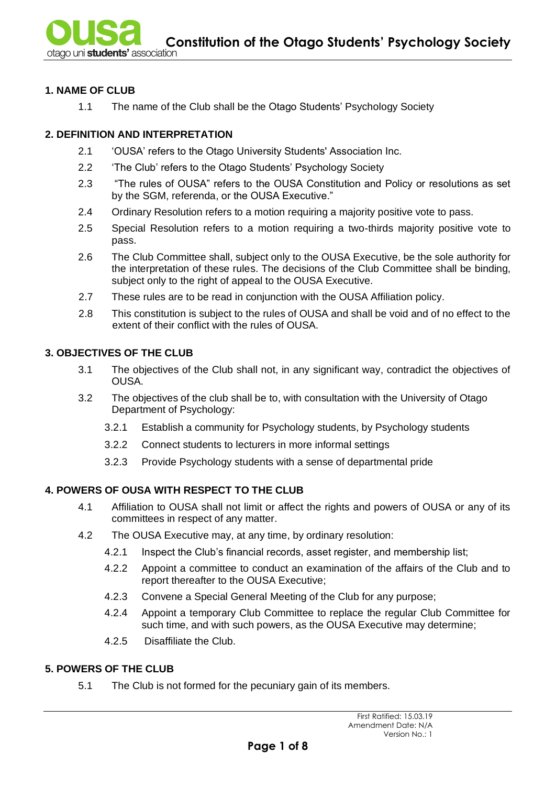#### **1. NAME OF CLUB**

1.1 The name of the Club shall be the Otago Students' Psychology Society

## **2. DEFINITION AND INTERPRETATION**

- 2.1 'OUSA' refers to the Otago University Students' Association Inc.
- 2.2 'The Club' refers to the Otago Students' Psychology Society
- 2.3 "The rules of OUSA" refers to the OUSA Constitution and Policy or resolutions as set by the SGM, referenda, or the OUSA Executive."
- 2.4 Ordinary Resolution refers to a motion requiring a majority positive vote to pass.
- 2.5 Special Resolution refers to a motion requiring a two-thirds majority positive vote to pass.
- 2.6 The Club Committee shall, subject only to the OUSA Executive, be the sole authority for the interpretation of these rules. The decisions of the Club Committee shall be binding, subject only to the right of appeal to the OUSA Executive.
- 2.7 These rules are to be read in conjunction with the OUSA Affiliation policy.
- 2.8 This constitution is subject to the rules of OUSA and shall be void and of no effect to the extent of their conflict with the rules of OUSA.

# **3. OBJECTIVES OF THE CLUB**

- 3.1 The objectives of the Club shall not, in any significant way, contradict the objectives of OUSA.
- 3.2 The objectives of the club shall be to, with consultation with the University of Otago Department of Psychology:
	- 3.2.1 Establish a community for Psychology students, by Psychology students
	- 3.2.2 Connect students to lecturers in more informal settings
	- 3.2.3 Provide Psychology students with a sense of departmental pride

# **4. POWERS OF OUSA WITH RESPECT TO THE CLUB**

- 4.1 Affiliation to OUSA shall not limit or affect the rights and powers of OUSA or any of its committees in respect of any matter.
- 4.2 The OUSA Executive may, at any time, by ordinary resolution:
	- 4.2.1 Inspect the Club's financial records, asset register, and membership list;
	- 4.2.2 Appoint a committee to conduct an examination of the affairs of the Club and to report thereafter to the OUSA Executive;
	- 4.2.3 Convene a Special General Meeting of the Club for any purpose;
	- 4.2.4 Appoint a temporary Club Committee to replace the regular Club Committee for such time, and with such powers, as the OUSA Executive may determine;
	- 4.2.5 Disaffiliate the Club.

#### **5. POWERS OF THE CLUB**

5.1 The Club is not formed for the pecuniary gain of its members.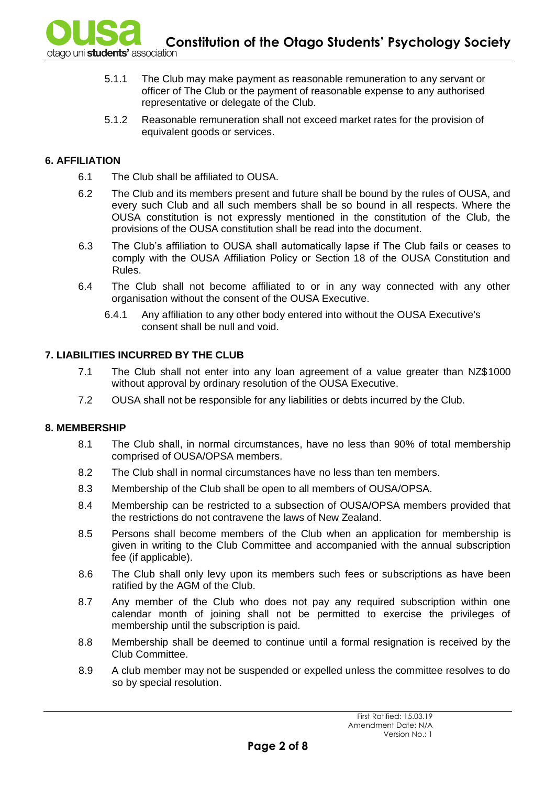- 5.1.1 The Club may make payment as reasonable remuneration to any servant or officer of The Club or the payment of reasonable expense to any authorised representative or delegate of the Club.
- 5.1.2 Reasonable remuneration shall not exceed market rates for the provision of equivalent goods or services.

## **6. AFFILIATION**

- 6.1 The Club shall be affiliated to OUSA.
- 6.2 The Club and its members present and future shall be bound by the rules of OUSA, and every such Club and all such members shall be so bound in all respects. Where the OUSA constitution is not expressly mentioned in the constitution of the Club, the provisions of the OUSA constitution shall be read into the document.
- 6.3 The Club's affiliation to OUSA shall automatically lapse if The Club fails or ceases to comply with the OUSA Affiliation Policy or Section 18 of the OUSA Constitution and Rules.
- 6.4 The Club shall not become affiliated to or in any way connected with any other organisation without the consent of the OUSA Executive.
	- 6.4.1 Any affiliation to any other body entered into without the OUSA Executive's consent shall be null and void.

#### **7. LIABILITIES INCURRED BY THE CLUB**

- 7.1 The Club shall not enter into any loan agreement of a value greater than NZ\$1000 without approval by ordinary resolution of the OUSA Executive.
- 7.2 OUSA shall not be responsible for any liabilities or debts incurred by the Club.

#### **8. MEMBERSHIP**

- 8.1 The Club shall, in normal circumstances, have no less than 90% of total membership comprised of OUSA/OPSA members.
- 8.2 The Club shall in normal circumstances have no less than ten members.
- 8.3 Membership of the Club shall be open to all members of OUSA/OPSA.
- 8.4 Membership can be restricted to a subsection of OUSA/OPSA members provided that the restrictions do not contravene the laws of New Zealand.
- 8.5 Persons shall become members of the Club when an application for membership is given in writing to the Club Committee and accompanied with the annual subscription fee (if applicable).
- 8.6 The Club shall only levy upon its members such fees or subscriptions as have been ratified by the AGM of the Club.
- 8.7 Any member of the Club who does not pay any required subscription within one calendar month of joining shall not be permitted to exercise the privileges of membership until the subscription is paid.
- 8.8 Membership shall be deemed to continue until a formal resignation is received by the Club Committee.
- 8.9 A club member may not be suspended or expelled unless the committee resolves to do so by special resolution.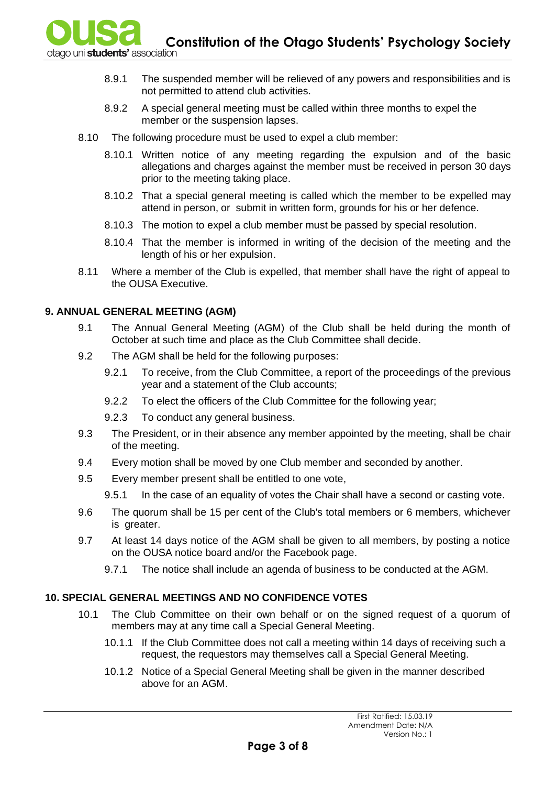**Constitution of the Otago Students' Psychology Society**<br>ao uni students' association

- 8.9.1 The suspended member will be relieved of any powers and responsibilities and is not permitted to attend club activities.
- 8.9.2 A special general meeting must be called within three months to expel the member or the suspension lapses.
- 8.10 The following procedure must be used to expel a club member:
	- 8.10.1 Written notice of any meeting regarding the expulsion and of the basic allegations and charges against the member must be received in person 30 days prior to the meeting taking place.
	- 8.10.2 That a special general meeting is called which the member to be expelled may attend in person, or submit in written form, grounds for his or her defence.
	- 8.10.3 The motion to expel a club member must be passed by special resolution.
	- 8.10.4 That the member is informed in writing of the decision of the meeting and the length of his or her expulsion.
- 8.11 Where a member of the Club is expelled, that member shall have the right of appeal to the OUSA Executive.

# **9. ANNUAL GENERAL MEETING (AGM)**

- 9.1 The Annual General Meeting (AGM) of the Club shall be held during the month of October at such time and place as the Club Committee shall decide.
- 9.2 The AGM shall be held for the following purposes:
	- 9.2.1 To receive, from the Club Committee, a report of the proceedings of the previous year and a statement of the Club accounts;
	- 9.2.2 To elect the officers of the Club Committee for the following year;
	- 9.2.3 To conduct any general business.
- 9.3 The President, or in their absence any member appointed by the meeting, shall be chair of the meeting.
- 9.4 Every motion shall be moved by one Club member and seconded by another.
- 9.5 Every member present shall be entitled to one vote,
	- 9.5.1 In the case of an equality of votes the Chair shall have a second or casting vote.
- 9.6 The quorum shall be 15 per cent of the Club's total members or 6 members, whichever is greater.
- 9.7 At least 14 days notice of the AGM shall be given to all members, by posting a notice on the OUSA notice board and/or the Facebook page.
	- 9.7.1 The notice shall include an agenda of business to be conducted at the AGM.

# **10. SPECIAL GENERAL MEETINGS AND NO CONFIDENCE VOTES**

- 10.1 The Club Committee on their own behalf or on the signed request of a quorum of members may at any time call a Special General Meeting.
	- 10.1.1 If the Club Committee does not call a meeting within 14 days of receiving such a request, the requestors may themselves call a Special General Meeting.
	- 10.1.2 Notice of a Special General Meeting shall be given in the manner described above for an AGM.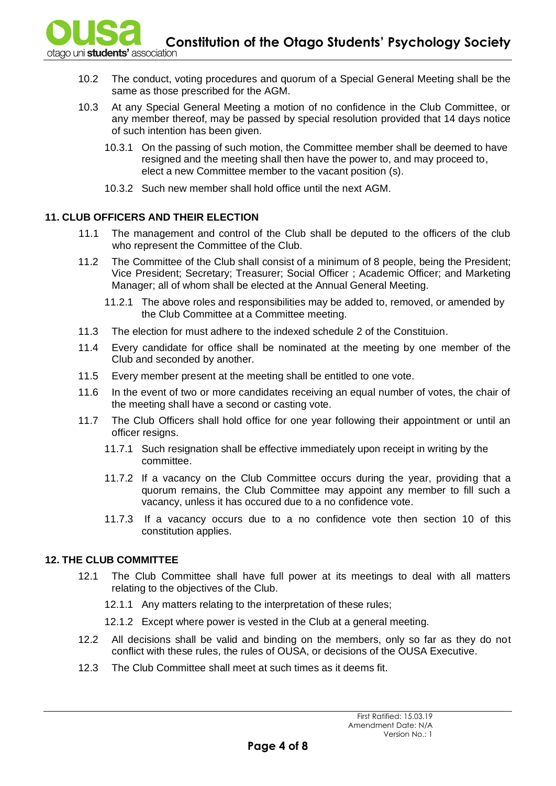**Constitution of the Otago Students' Psychology Society**<br>tago uni students' association

- 10.2 The conduct, voting procedures and quorum of a Special General Meeting shall be the same as those prescribed for the AGM.
- 10.3 At any Special General Meeting a motion of no confidence in the Club Committee, or any member thereof, may be passed by special resolution provided that 14 days notice of such intention has been given.
	- 10.3.1 On the passing of such motion, the Committee member shall be deemed to have resigned and the meeting shall then have the power to, and may proceed to, elect a new Committee member to the vacant position (s).
	- 10.3.2 Such new member shall hold office until the next AGM.

#### **11. CLUB OFFICERS AND THEIR ELECTION**

- 11.1 The management and control of the Club shall be deputed to the officers of the club who represent the Committee of the Club.
- 11.2 The Committee of the Club shall consist of a minimum of 8 people, being the President; Vice President; Secretary; Treasurer; Social Officer ; Academic Officer; and Marketing Manager; all of whom shall be elected at the Annual General Meeting.
	- 11.2.1 The above roles and responsibilities may be added to, removed, or amended by the Club Committee at a Committee meeting.
- 11.3 The election for must adhere to the indexed schedule 2 of the Constituion.
- 11.4 Every candidate for office shall be nominated at the meeting by one member of the Club and seconded by another.
- 11.5 Every member present at the meeting shall be entitled to one vote.
- 11.6 In the event of two or more candidates receiving an equal number of votes, the chair of the meeting shall have a second or casting vote.
- 11.7 The Club Officers shall hold office for one year following their appointment or until an officer resigns.
	- 11.7.1 Such resignation shall be effective immediately upon receipt in writing by the committee.
	- 11.7.2 If a vacancy on the Club Committee occurs during the year, providing that a quorum remains, the Club Committee may appoint any member to fill such a vacancy, unless it has occured due to a no confidence vote.
	- 11.7.3 If a vacancy occurs due to a no confidence vote then section 10 of this constitution applies.

# **12. THE CLUB COMMITTEE**

- 12.1 The Club Committee shall have full power at its meetings to deal with all matters relating to the objectives of the Club.
	- 12.1.1 Any matters relating to the interpretation of these rules;
	- 12.1.2 Except where power is vested in the Club at a general meeting.
- 12.2 All decisions shall be valid and binding on the members, only so far as they do not conflict with these rules, the rules of OUSA, or decisions of the OUSA Executive.
- 12.3 The Club Committee shall meet at such times as it deems fit.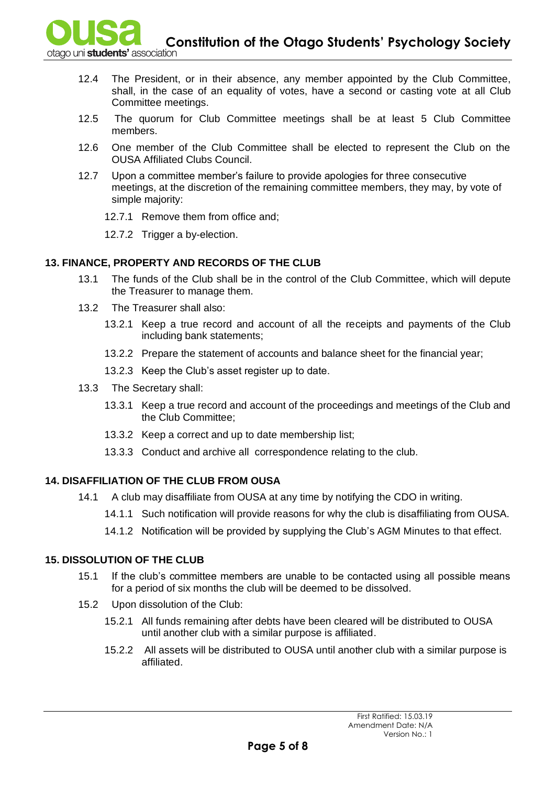**Constitution of the Otago Students' Psychology Society**<br>and unistudents' association

- 12.4 The President, or in their absence, any member appointed by the Club Committee, shall, in the case of an equality of votes, have a second or casting vote at all Club Committee meetings.
- 12.5 The quorum for Club Committee meetings shall be at least 5 Club Committee members.
- 12.6 One member of the Club Committee shall be elected to represent the Club on the OUSA Affiliated Clubs Council.
- 12.7 Upon a committee member's failure to provide apologies for three consecutive meetings, at the discretion of the remaining committee members, they may, by vote of simple majority:
	- 12.7.1 Remove them from office and;
	- 12.7.2 Trigger a by-election.

# **13. FINANCE, PROPERTY AND RECORDS OF THE CLUB**

- 13.1 The funds of the Club shall be in the control of the Club Committee, which will depute the Treasurer to manage them.
- 13.2 The Treasurer shall also:
	- 13.2.1 Keep a true record and account of all the receipts and payments of the Club including bank statements;
	- 13.2.2 Prepare the statement of accounts and balance sheet for the financial year;
	- 13.2.3 Keep the Club's asset register up to date.
- 13.3 The Secretary shall:
	- 13.3.1 Keep a true record and account of the proceedings and meetings of the Club and the Club Committee;
	- 13.3.2 Keep a correct and up to date membership list;
	- 13.3.3 Conduct and archive all correspondence relating to the club.

# **14. DISAFFILIATION OF THE CLUB FROM OUSA**

- 14.1 A club may disaffiliate from OUSA at any time by notifying the CDO in writing.
	- 14.1.1 Such notification will provide reasons for why the club is disaffiliating from OUSA.
	- 14.1.2 Notification will be provided by supplying the Club's AGM Minutes to that effect.

## **15. DISSOLUTION OF THE CLUB**

- 15.1 If the club's committee members are unable to be contacted using all possible means for a period of six months the club will be deemed to be dissolved.
- 15.2 Upon dissolution of the Club:
	- 15.2.1 All funds remaining after debts have been cleared will be distributed to OUSA until another club with a similar purpose is affiliated.
	- 15.2.2 All assets will be distributed to OUSA until another club with a similar purpose is affiliated.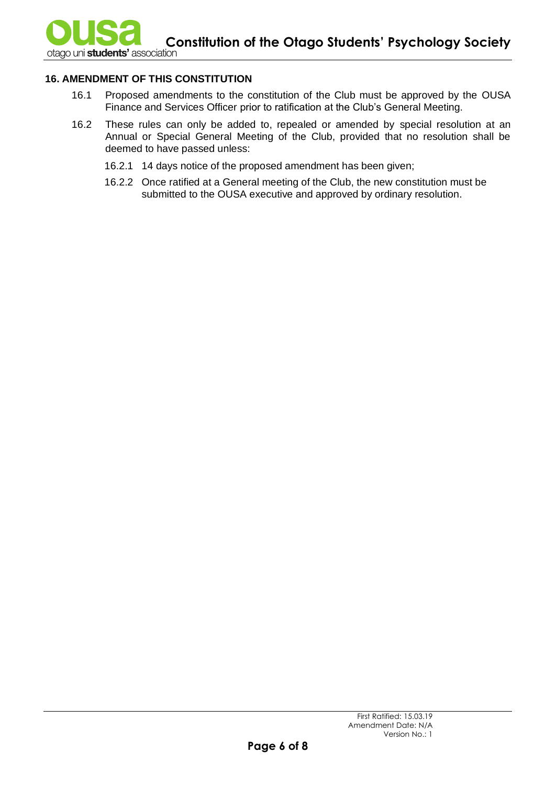## **16. AMENDMENT OF THIS CONSTITUTION**

- 16.1 Proposed amendments to the constitution of the Club must be approved by the OUSA Finance and Services Officer prior to ratification at the Club's General Meeting.
- 16.2 These rules can only be added to, repealed or amended by special resolution at an Annual or Special General Meeting of the Club, provided that no resolution shall be deemed to have passed unless:
	- 16.2.1 14 days notice of the proposed amendment has been given;
	- 16.2.2 Once ratified at a General meeting of the Club, the new constitution must be submitted to the OUSA executive and approved by ordinary resolution.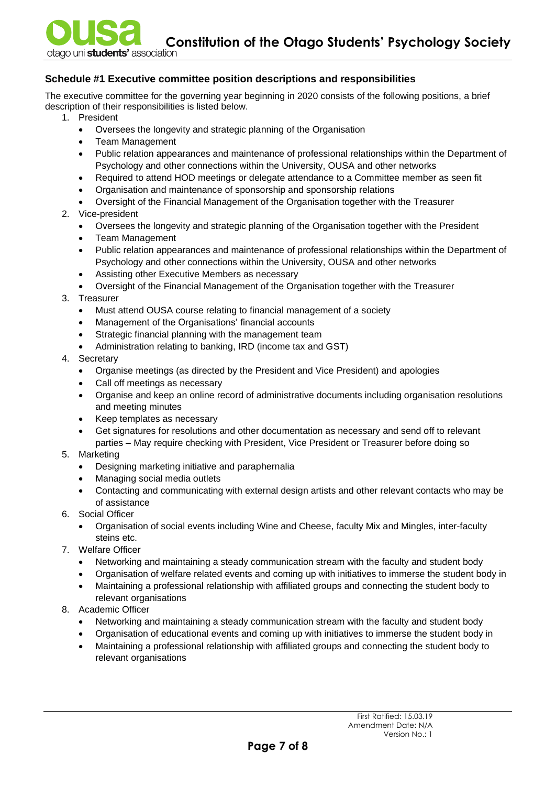## **Schedule #1 Executive committee position descriptions and responsibilities**

The executive committee for the governing year beginning in 2020 consists of the following positions, a brief description of their responsibilities is listed below.

- 1. President
	- Oversees the longevity and strategic planning of the Organisation
	- Team Management
	- Public relation appearances and maintenance of professional relationships within the Department of Psychology and other connections within the University, OUSA and other networks
	- Required to attend HOD meetings or delegate attendance to a Committee member as seen fit
	- Organisation and maintenance of sponsorship and sponsorship relations
	- Oversight of the Financial Management of the Organisation together with the Treasurer
- 2. Vice-president
	- Oversees the longevity and strategic planning of the Organisation together with the President
	- Team Management
	- Public relation appearances and maintenance of professional relationships within the Department of Psychology and other connections within the University, OUSA and other networks
	- Assisting other Executive Members as necessary
	- Oversight of the Financial Management of the Organisation together with the Treasurer
- 3. Treasurer
	- Must attend OUSA course relating to financial management of a society
	- Management of the Organisations' financial accounts
	- Strategic financial planning with the management team
	- Administration relating to banking, IRD (income tax and GST)
- 4. Secretary
	- Organise meetings (as directed by the President and Vice President) and apologies
	- Call off meetings as necessary
	- Organise and keep an online record of administrative documents including organisation resolutions and meeting minutes
	- Keep templates as necessary
	- Get signatures for resolutions and other documentation as necessary and send off to relevant parties – May require checking with President, Vice President or Treasurer before doing so
- 5. Marketing
	- Designing marketing initiative and paraphernalia
	- Managing social media outlets
	- Contacting and communicating with external design artists and other relevant contacts who may be of assistance
- 6. Social Officer
	- Organisation of social events including Wine and Cheese, faculty Mix and Mingles, inter-faculty steins etc.
- 7. Welfare Officer
	- Networking and maintaining a steady communication stream with the faculty and student body
	- Organisation of welfare related events and coming up with initiatives to immerse the student body in
	- Maintaining a professional relationship with affiliated groups and connecting the student body to relevant organisations
- 8. Academic Officer
	- Networking and maintaining a steady communication stream with the faculty and student body
	- Organisation of educational events and coming up with initiatives to immerse the student body in
	- Maintaining a professional relationship with affiliated groups and connecting the student body to relevant organisations